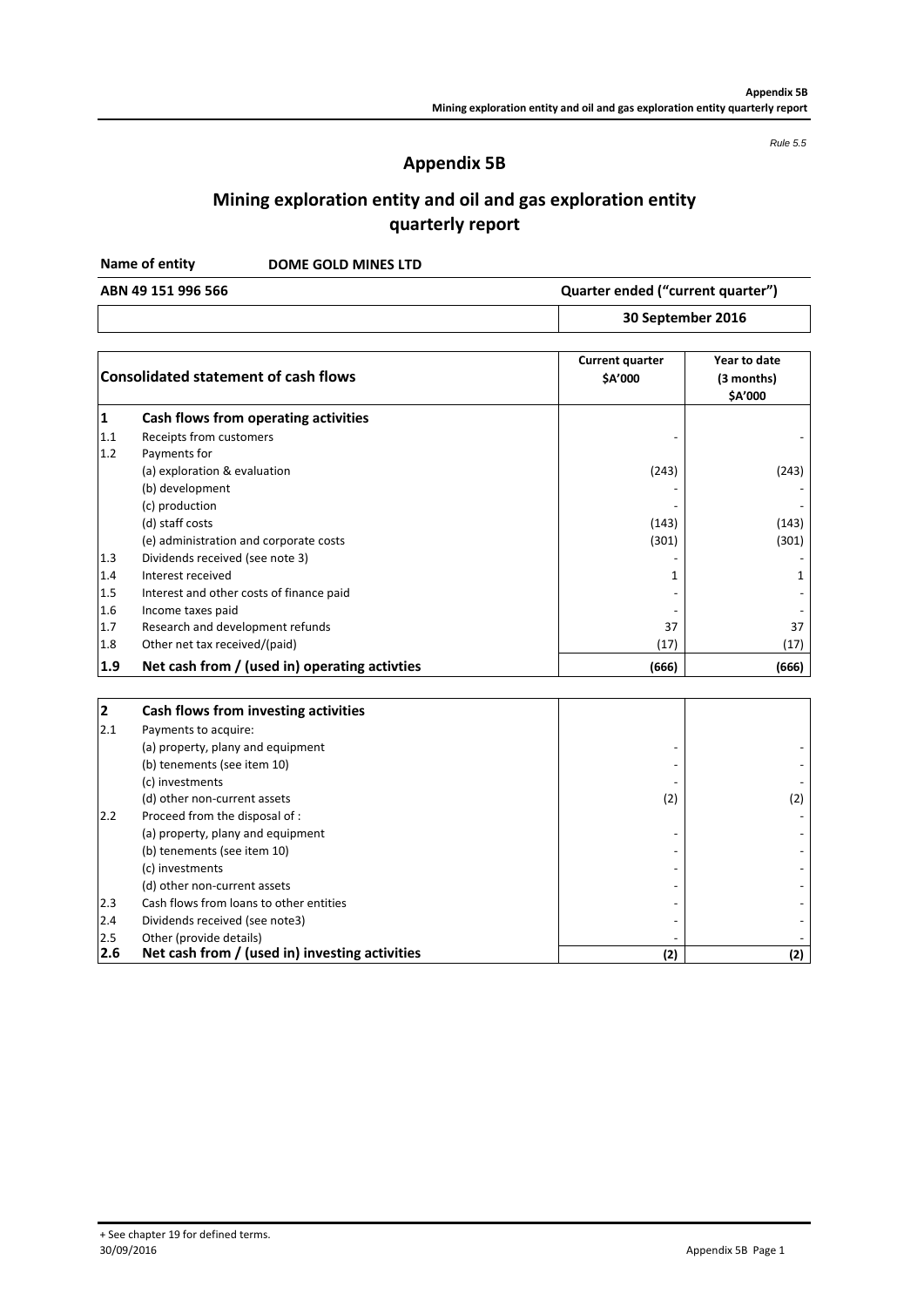*Rule 5.5*

## **Appendix 5B**

# **Mining exploration entity and oil and gas exploration entity quarterly report**

**DOME GOLD MINES LTD Name of entity**

**30 September 2016 ABN 49 151 996 566 Quarter ended ("current quarter")**

| <b>Consolidated statement of cash flows</b> |                                               | <b>Current quarter</b><br>\$A'000 | Year to date<br>(3 months)<br>\$A'000 |
|---------------------------------------------|-----------------------------------------------|-----------------------------------|---------------------------------------|
|                                             | Cash flows from operating activities          |                                   |                                       |
| 1.1                                         | Receipts from customers                       |                                   |                                       |
| 1.2                                         | Payments for                                  |                                   |                                       |
|                                             | (a) exploration & evaluation                  | (243)                             | (243)                                 |
|                                             | (b) development                               |                                   |                                       |
|                                             | (c) production                                |                                   |                                       |
|                                             | (d) staff costs                               | (143)                             | (143)                                 |
|                                             | (e) administration and corporate costs        | (301)                             | (301)                                 |
| 1.3                                         | Dividends received (see note 3)               |                                   |                                       |
| 1.4                                         | Interest received                             | 1                                 | 1                                     |
| 1.5                                         | Interest and other costs of finance paid      |                                   |                                       |
| 1.6                                         | Income taxes paid                             |                                   |                                       |
| 1.7                                         | Research and development refunds              | 37                                | 37                                    |
| 1.8                                         | Other net tax received/(paid)                 | (17)                              | (17)                                  |
| 1.9                                         | Net cash from / (used in) operating activties | (666)                             | (666)                                 |

| 2   | Cash flows from investing activities           |     |     |
|-----|------------------------------------------------|-----|-----|
| 2.1 | Payments to acquire:                           |     |     |
|     | (a) property, plany and equipment              |     |     |
|     | (b) tenements (see item 10)                    |     |     |
|     | (c) investments                                |     |     |
|     | (d) other non-current assets                   | (2) | (2) |
| 2.2 | Proceed from the disposal of :                 |     |     |
|     | (a) property, plany and equipment              |     |     |
|     | (b) tenements (see item 10)                    |     |     |
|     | (c) investments                                |     |     |
|     | (d) other non-current assets                   |     |     |
| 2.3 | Cash flows from loans to other entities        |     |     |
| 2.4 | Dividends received (see note3)                 |     |     |
| 2.5 | Other (provide details)                        |     |     |
| 2.6 | Net cash from / (used in) investing activities | (2) | (2) |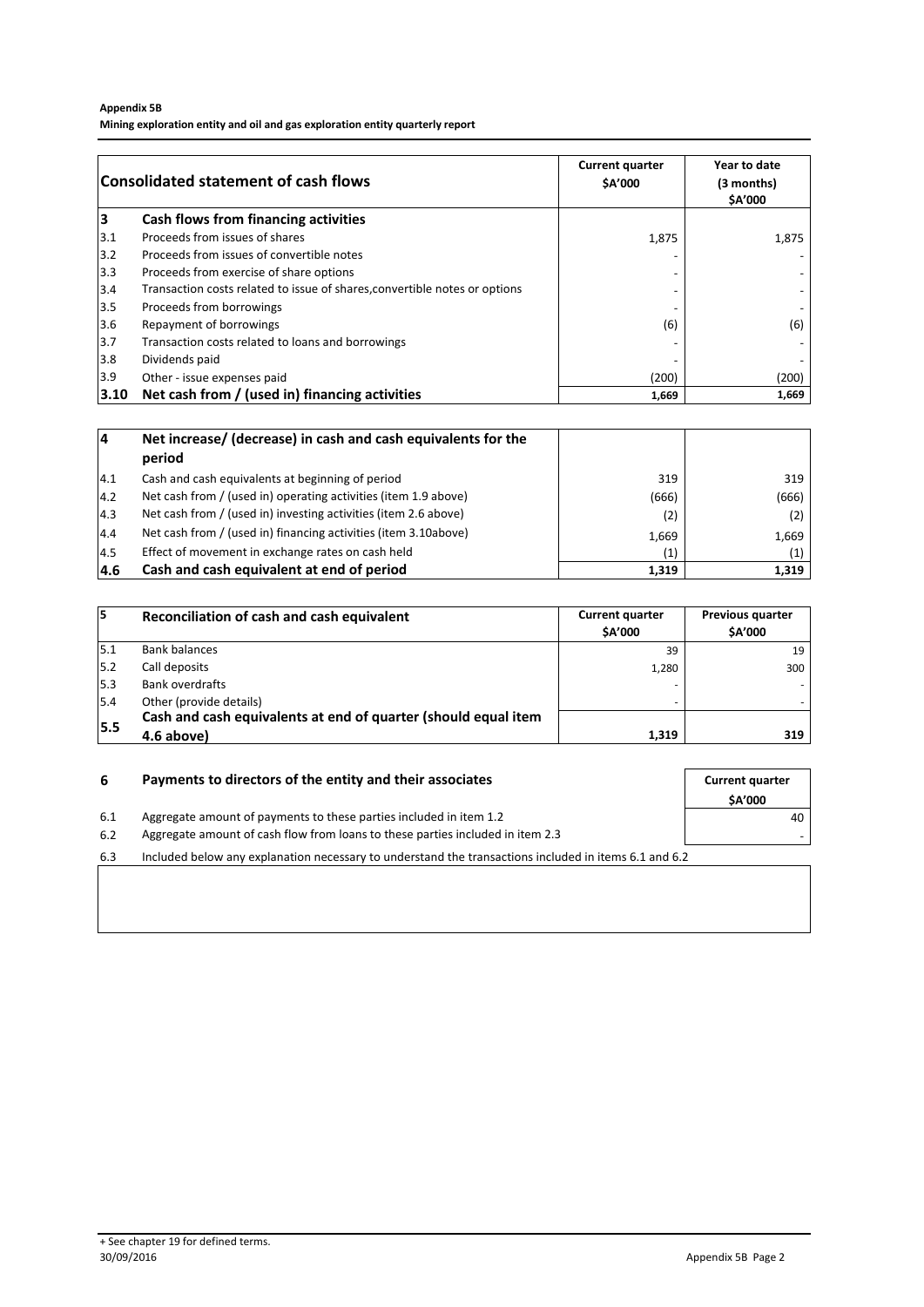#### **Appendix 5B Mining exploration entity and oil and gas exploration entity quarterly report**

| <b>Consolidated statement of cash flows</b> |                                                                            | <b>Current quarter</b><br>\$A'000 | Year to date<br>(3 months)<br><b>SA'000</b> |
|---------------------------------------------|----------------------------------------------------------------------------|-----------------------------------|---------------------------------------------|
| із                                          | Cash flows from financing activities                                       |                                   |                                             |
| 3.1                                         | Proceeds from issues of shares                                             | 1,875                             | 1,875                                       |
| $3.2$                                       | Proceeds from issues of convertible notes                                  |                                   |                                             |
| 3.3                                         | Proceeds from exercise of share options                                    |                                   |                                             |
| 3.4                                         | Transaction costs related to issue of shares, convertible notes or options | $\overline{a}$                    |                                             |
| 3.5                                         | Proceeds from borrowings                                                   |                                   |                                             |
| 3.6                                         | Repayment of borrowings                                                    | (6)                               | (6)                                         |
| 3.7                                         | Transaction costs related to loans and borrowings                          |                                   |                                             |
| 3.8                                         | Dividends paid                                                             |                                   |                                             |
| 3.9                                         | Other - issue expenses paid                                                | (200)                             | (200)                                       |
| 3.10                                        | Net cash from / (used in) financing activities                             | 1,669                             | 1,669                                       |

| 14            | Net increase/ (decrease) in cash and cash equivalents for the   |       |       |
|---------------|-----------------------------------------------------------------|-------|-------|
|               | period                                                          |       |       |
| 4.1           | Cash and cash equivalents at beginning of period                | 319   | 319   |
| 14.2          | Net cash from / (used in) operating activities (item 1.9 above) | (666) | (666) |
| $ 4.3\rangle$ | Net cash from / (used in) investing activities (item 2.6 above) | (2)   | (2)   |
| 4.4           | Net cash from / (used in) financing activities (item 3.10above) | 1,669 | 1,669 |
| 14.5          | Effect of movement in exchange rates on cash held               | (1)   |       |
| 14.6          | Cash and cash equivalent at end of period                       | 1,319 | 1,319 |

| 15   | Reconciliation of cash and cash equivalent                     | <b>Current quarter</b><br><b>SA'000</b> | <b>Previous quarter</b><br><b>SA'000</b> |
|------|----------------------------------------------------------------|-----------------------------------------|------------------------------------------|
| 15.1 | <b>Bank balances</b>                                           | 39                                      | 19                                       |
| 15.2 | Call deposits                                                  | 1.280                                   | 300                                      |
| 5.3  | Bank overdrafts                                                |                                         |                                          |
| 5.4  | Other (provide details)                                        |                                         |                                          |
| 5.5  | Cash and cash equivalents at end of quarter (should equal item |                                         |                                          |
|      | 4.6 above)                                                     | 1,319                                   | 319                                      |

| 6   | Payments to directors of the entity and their associates                                              |               |
|-----|-------------------------------------------------------------------------------------------------------|---------------|
|     |                                                                                                       | <b>SA'000</b> |
| 6.1 | Aggregate amount of payments to these parties included in item 1.2                                    | 40            |
| 6.2 | Aggregate amount of cash flow from loans to these parties included in item 2.3                        |               |
| 6.3 | Included below any explanation necessary to understand the transactions included in items 6.1 and 6.2 |               |
|     |                                                                                                       |               |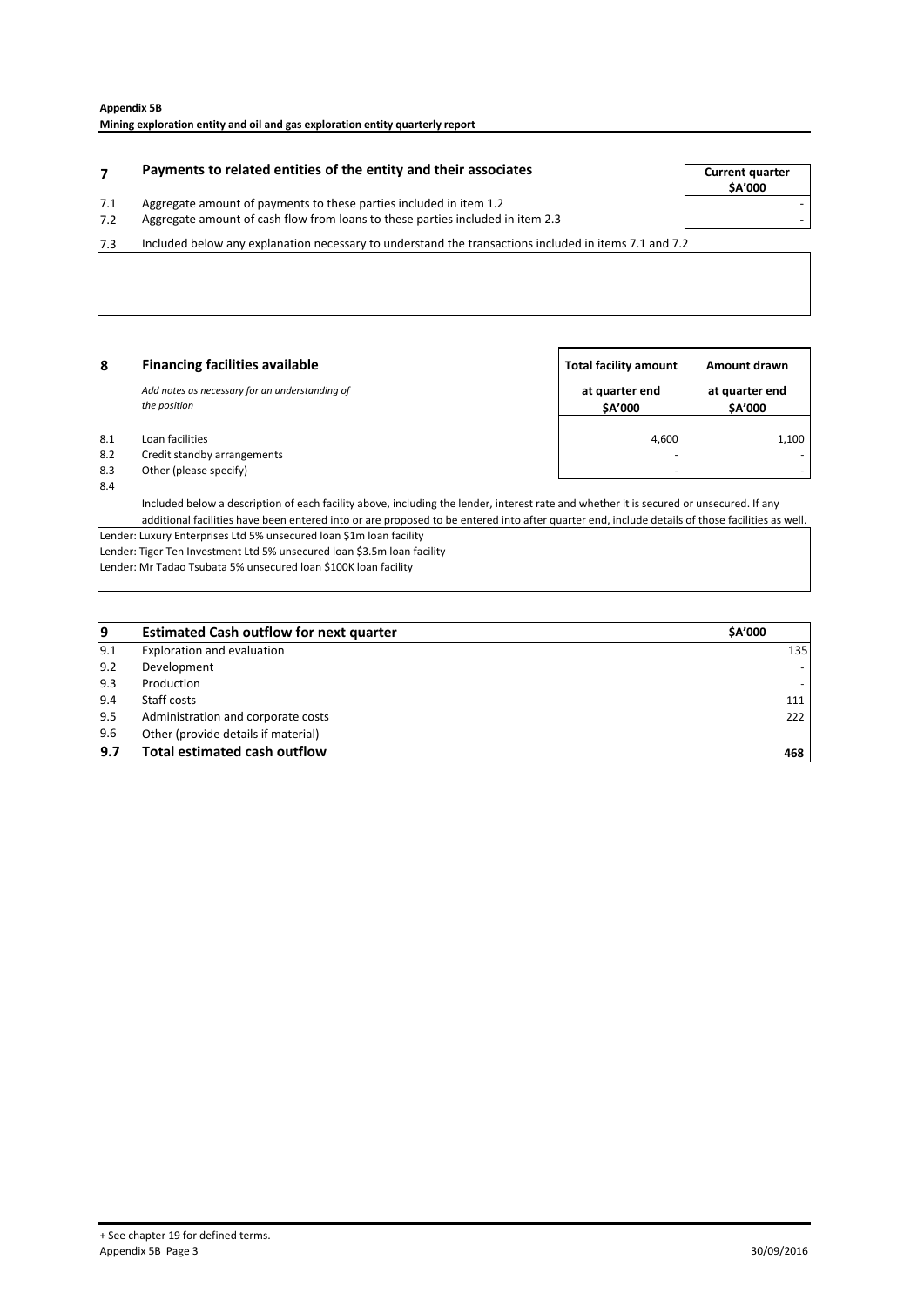|            | Payments to related entities of the entity and their associates                                                                                      | <b>Current quarter</b><br><b>SA'000</b> |
|------------|------------------------------------------------------------------------------------------------------------------------------------------------------|-----------------------------------------|
| 7.1<br>7.2 | Aggregate amount of payments to these parties included in item 1.2<br>Aggregate amount of cash flow from loans to these parties included in item 2.3 |                                         |
| 7.3        | Included below any explanation necessary to understand the transactions included in items 7.1 and 7.2                                                |                                         |

**8 Total facility amount Amount drawn Financing facilities availableat quarter end \$A'000 at quarter end \$A'000** 8.1 Loan facilities  $\begin{array}{ccc} & 1,100 \end{array}$ 8.2 Credit standby arrangements<br>8.3 Other (please specify) Other (please specify) 8.4 *Add notes as necessary for an understanding of the position*

Included below a description of each facility above, including the lender, interest rate and whether it is secured or unsecured. If any additional facilities have been entered into or are proposed to be entered into after quarter end, include details of those facilities as well. Lender: Luxury Enterprises Ltd 5% unsecured loan \$1m loan facility Lender: Tiger Ten Investment Ltd 5% unsecured loan \$3.5m loan facility

Lender: Mr Tadao Tsubata 5% unsecured loan \$100K loan facility

| و             | <b>Estimated Cash outflow for next quarter</b> | <b>SA'000</b> |
|---------------|------------------------------------------------|---------------|
| 9.1           | Exploration and evaluation                     | 135           |
| $ 9.2\rangle$ | Development                                    |               |
| $ 9.3\rangle$ | Production                                     |               |
| 9.4           | Staff costs                                    | 111           |
| 9.5           | Administration and corporate costs             | 222           |
| 9.6           | Other (provide details if material)            |               |
| 9.7           | <b>Total estimated cash outflow</b>            | 468           |